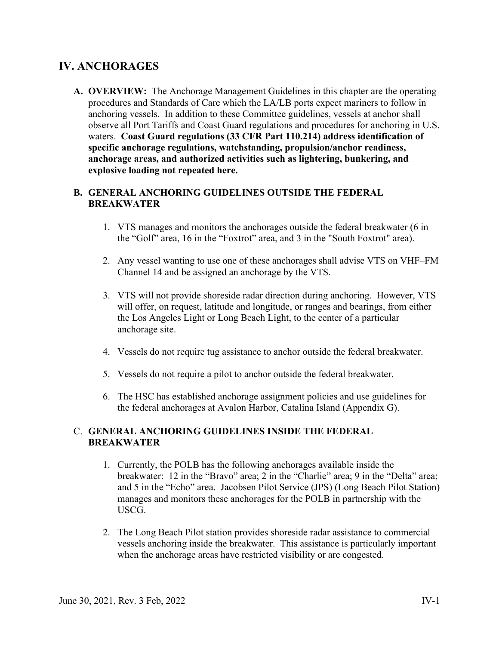## **IV. ANCHORAGES**

**A. OVERVIEW:** The Anchorage Management Guidelines in this chapter are the operating procedures and Standards of Care which the LA/LB ports expect mariners to follow in anchoring vessels. In addition to these Committee guidelines, vessels at anchor shall observe all Port Tariffs and Coast Guard regulations and procedures for anchoring in U.S. waters. **Coast Guard regulations (33 CFR Part 110.214) address identification of specific anchorage regulations, watchstanding, propulsion/anchor readiness, anchorage areas, and authorized activities such as lightering, bunkering, and explosive loading not repeated here.**

## **B. GENERAL ANCHORING GUIDELINES OUTSIDE THE FEDERAL BREAKWATER**

- 1. VTS manages and monitors the anchorages outside the federal breakwater (6 in the "Golf" area, 16 in the "Foxtrot" area, and 3 in the "South Foxtrot" area).
- 2. Any vessel wanting to use one of these anchorages shall advise VTS on VHF–FM Channel 14 and be assigned an anchorage by the VTS.
- 3. VTS will not provide shoreside radar direction during anchoring. However, VTS will offer, on request, latitude and longitude, or ranges and bearings, from either the Los Angeles Light or Long Beach Light, to the center of a particular anchorage site.
- 4. Vessels do not require tug assistance to anchor outside the federal breakwater.
- 5. Vessels do not require a pilot to anchor outside the federal breakwater.
- 6. The HSC has established anchorage assignment policies and use guidelines for the federal anchorages at Avalon Harbor, Catalina Island (Appendix G).

## C. **GENERAL ANCHORING GUIDELINES INSIDE THE FEDERAL BREAKWATER**

- 1. Currently, the POLB has the following anchorages available inside the breakwater: 12 in the "Bravo" area; 2 in the "Charlie" area; 9 in the "Delta" area; and 5 in the "Echo" area. Jacobsen Pilot Service (JPS) (Long Beach Pilot Station) manages and monitors these anchorages for the POLB in partnership with the USCG.
- 2. The Long Beach Pilot station provides shoreside radar assistance to commercial vessels anchoring inside the breakwater. This assistance is particularly important when the anchorage areas have restricted visibility or are congested.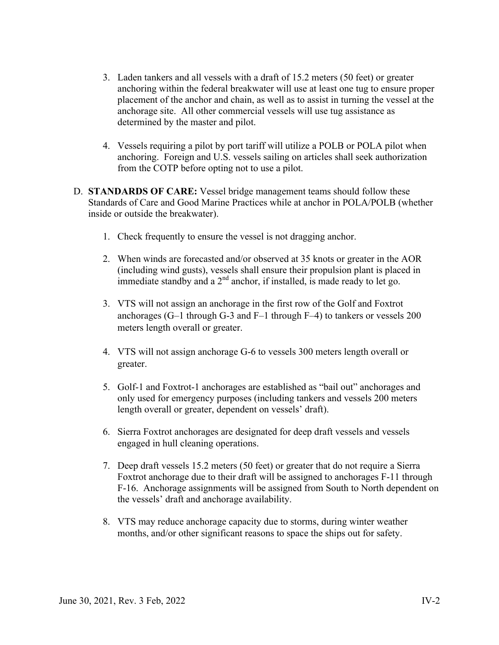- 3. Laden tankers and all vessels with a draft of 15.2 meters (50 feet) or greater anchoring within the federal breakwater will use at least one tug to ensure proper placement of the anchor and chain, as well as to assist in turning the vessel at the anchorage site. All other commercial vessels will use tug assistance as determined by the master and pilot.
- 4. Vessels requiring a pilot by port tariff will utilize a POLB or POLA pilot when anchoring. Foreign and U.S. vessels sailing on articles shall seek authorization from the COTP before opting not to use a pilot.
- D. **STANDARDS OF CARE:** Vessel bridge management teams should follow these Standards of Care and Good Marine Practices while at anchor in POLA/POLB (whether inside or outside the breakwater).
	- 1. Check frequently to ensure the vessel is not dragging anchor.
	- 2. When winds are forecasted and/or observed at 35 knots or greater in the AOR (including wind gusts), vessels shall ensure their propulsion plant is placed in immediate standby and a  $2<sup>nd</sup>$  anchor, if installed, is made ready to let go.
	- 3. VTS will not assign an anchorage in the first row of the Golf and Foxtrot anchorages (G–1 through G-3 and F–1 through F–4) to tankers or vessels 200 meters length overall or greater.
	- 4. VTS will not assign anchorage G-6 to vessels 300 meters length overall or greater.
	- 5. Golf-1 and Foxtrot-1 anchorages are established as "bail out" anchorages and only used for emergency purposes (including tankers and vessels 200 meters length overall or greater, dependent on vessels' draft).
	- 6. Sierra Foxtrot anchorages are designated for deep draft vessels and vessels engaged in hull cleaning operations.
	- 7. Deep draft vessels 15.2 meters (50 feet) or greater that do not require a Sierra Foxtrot anchorage due to their draft will be assigned to anchorages F-11 through F-16. Anchorage assignments will be assigned from South to North dependent on the vessels' draft and anchorage availability.
	- 8. VTS may reduce anchorage capacity due to storms, during winter weather months, and/or other significant reasons to space the ships out for safety.